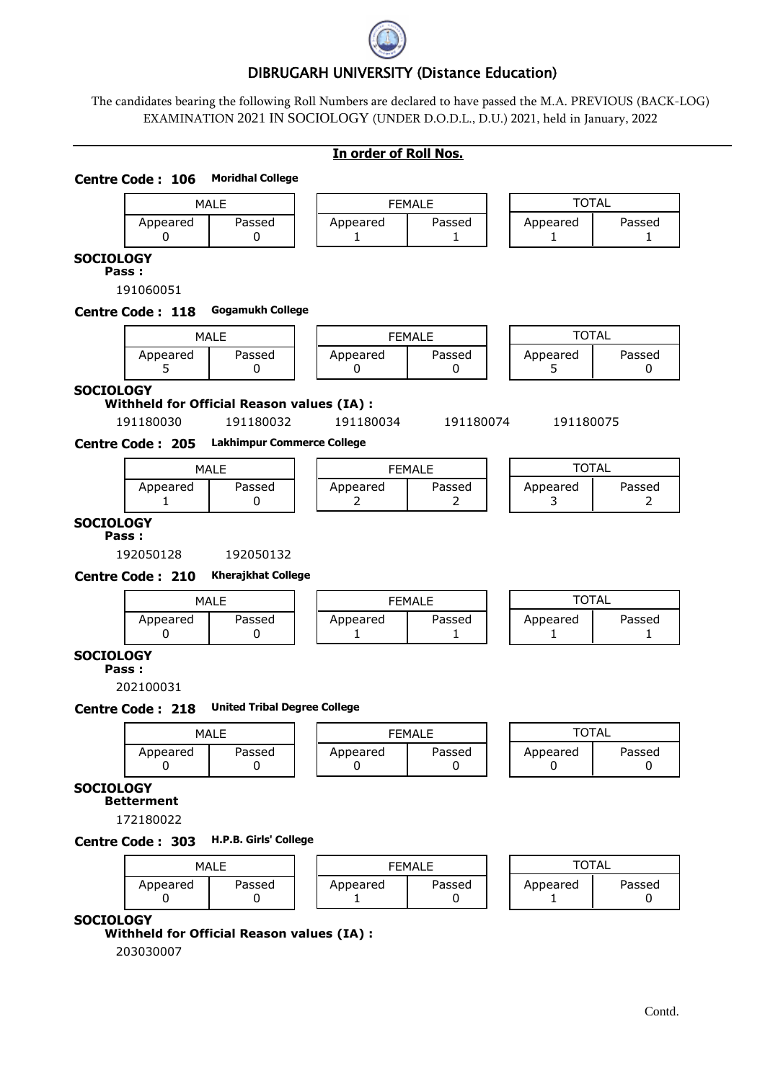

## DIBRUGARH UNIVERSITY (Distance Education)

The candidates bearing the following Roll Numbers are declared to have passed the M.A. PREVIOUS (BACK-LOG) EXAMINATION 2021 IN SOCIOLOGY (UNDER D.O.D.L., D.U.) 2021, held in January, 2022

|  | In order of Roll Nos. |  |  |  |
|--|-----------------------|--|--|--|
|--|-----------------------|--|--|--|

# MALE | | FEMALE | | TOTAL Appeared | Passed | | Appeared | Passed | | Appeared | Passed 0 | 0 | | 1 | 1 | 1 | 1 | 1 **Centre Code : 106 Moridhal College SOCIOLOGY Pass :** 191060051 MALE  $\begin{array}{|c|c|c|c|c|}\hline \text{MALE} & \text{I} & \text{S} & \text{S} & \text{S} & \text{S} & \text{S} & \text{S} & \text{S} & \text{S} & \text{S} & \text{S} & \text{S} & \text{S} & \text{S} & \text{S} & \text{S} & \text{S} & \text{S} & \text{S} & \text{S} & \text{S} & \text{S} & \text{S} & \text{S} & \text{S} & \text{S} & \text{S} & \text{S} & \text{S} & \text{S} & \text{S} & \text{S$ Appeared | Passed | Appeared | Passed | Appeared | Passed 5 | 0 | | 0 | | 0 | | 5 | 0 **Centre Code : 118 Gogamukh College SOCIOLOGY Withheld for Official Reason values (IA) :** 191180030 191180032 191180034 191180074 191180075 MALE  $\begin{array}{|c|c|c|c|c|}\hline \text{MALE} & \text{I} & \text{S} & \text{S} & \text{S} & \text{S} & \text{S} & \text{S} & \text{S} & \text{S} & \text{S} & \text{S} & \text{S} & \text{S} & \text{S} & \text{S} & \text{S} & \text{S} & \text{S} & \text{S} & \text{S} & \text{S} & \text{S} & \text{S} & \text{S} & \text{S} & \text{S} & \text{S} & \text{S} & \text{S} & \text{S} & \text{S} & \text{S$ Appeared | Passed | | Appeared | Passed | | Appeared | Passed 1 | 0 | | 2 | | 2 | | 3 | 2 **Centre Code : 205 Lakhimpur Commerce College SOCIOLOGY Pass :** 192050128 192050132 MALE | | FEMALE | | TOTAL Appeared | Passed | Appeared | Passed | Appeared | Passed 0 | 0 | | 1 | 1 | 1 | 1 | 1 **Centre Code : 210 Kherajkhat College SOCIOLOGY Pass :** 202100031 MALE | | FEMALE | | TOTAL Appeared | Passed | | Appeared | Passed | | Appeared | Passed 0 0 0 0 0 0 **Centre Code : 218 United Tribal Degree College SOCIOLOGY Betterment** 172180022 MALE  $\begin{array}{|c|c|c|c|c|}\hline \text{MALE} & \text{I} & \text{S} & \text{S} & \text{S} & \text{S} & \text{S} & \text{S} & \text{S} & \text{S} & \text{S} & \text{S} & \text{S} & \text{S} & \text{S} & \text{S} & \text{S} & \text{S} & \text{S} & \text{S} & \text{S} & \text{S} & \text{S} & \text{S} & \text{S} & \text{S} & \text{S} & \text{S} & \text{S} & \text{S} & \text{S} & \text{S} & \text{S$ Appeared Passed Appeared Passed Appeared Passed 0 | 0 | | 1 | 0 | | 1 | 0 **Centre Code : 303 H.P.B. Girls' College SOCIOLOGY Withheld for Official Reason values (IA) :** 203030007 Contd.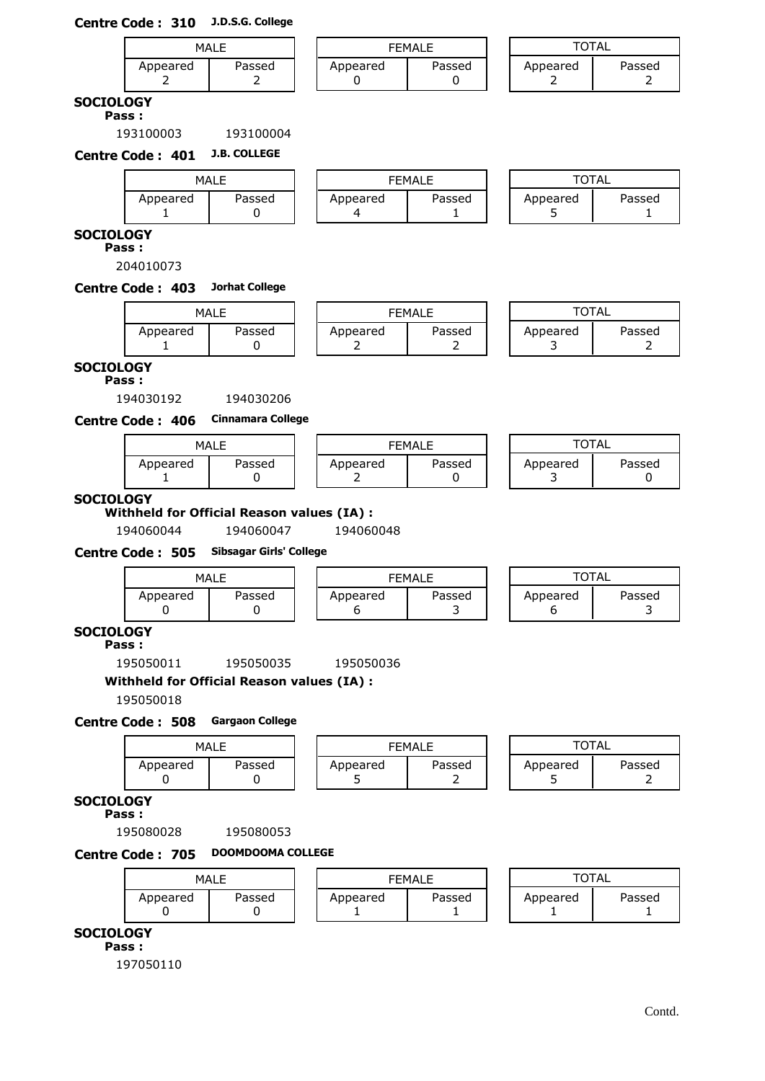## **Centre Code : 310 J.D.S.G. College**

|             | MALE<br>Passed<br>Appeared |  | <b>FEMALE</b> |        |  | TAL      |        |  |
|-------------|----------------------------|--|---------------|--------|--|----------|--------|--|
|             | _                          |  | Appeared      | Passed |  | Appeared | Passed |  |
| ---- - - -- |                            |  |               |        |  |          |        |  |

#### **SOCIOLOGY Pass :**

193100003 193100004

**Centre Code : 401 J.B. COLLEGE**

|               | MALE   |          | <b>FEMALE</b> |  | <b>TOTAL</b>  |        |
|---------------|--------|----------|---------------|--|---------------|--------|
| Appeared<br>- | Passed | Appeared | Passed        |  | Appeared<br>۰ | Passed |

## **SOCIOLOGY**

**Pass :**

204010073

### **Centre Code : 403 Jorhat College**

| MAI F    |        |  |
|----------|--------|--|
| Appeared | Passed |  |

|          | MALE   |          | <b>FEMALE</b> | TOTAL    |        |
|----------|--------|----------|---------------|----------|--------|
| Appeared | Passed | Appeared | Passed        | Appeared | Passed |
|          |        |          |               |          |        |

| TOTAL    |        |
|----------|--------|
| Appeared | Passed |
|          |        |

#### **SOCIOLOGY Pass :**

194030192 194030206

**Centre Code : 406 Cinnamara College**

|          | MAI F  |
|----------|--------|
| Appeared | Passed |
|          |        |

|          | MALE   | <b>FEMALE</b> |        | TOTAL    |        |
|----------|--------|---------------|--------|----------|--------|
| Appeared | Passed | Appeared      | Passed | Appeared | Passed |

| TOTAL    |        |
|----------|--------|
| Appeared | Passed |

## **SOCIOLOGY**

**Withheld for Official Reason values (IA) :**

194060044 194060047 194060048

## **Centre Code : 505 Sibsagar Girls' College**

| MALE     |        |  |                    | <b>FEMALE</b> |  | TOTAL    |        |
|----------|--------|--|--------------------|---------------|--|----------|--------|
| Appeared | Passed |  | Passed<br>Appeared |               |  | Appeared | Passed |

# **SOCIOLOGY**

**Pass :**

195050011 195050035 195050036

# **Withheld for Official Reason values (IA) :**

195050018

## **Centre Code : 508 Gargaon College**

| MALE<br>Passed<br>Appeared |  | FFMAI F            |  |  | ำTA∟                    |  |  |
|----------------------------|--|--------------------|--|--|-------------------------|--|--|
|                            |  | Passed<br>Appeared |  |  | Passed<br>Appeared<br>- |  |  |

## **SOCIOLOGY**

**Pass :**

195080028 195080053

## **Centre Code : 705 DOOMDOOMA COLLEGE**

| MALE<br>Passed<br>Appeared |  | <b>FEMALE</b> |        | ™∩⊤AL    |        |  |
|----------------------------|--|---------------|--------|----------|--------|--|
|                            |  | Appeared      | Passed | Appeared | Passed |  |

### **SOCIOLOGY**

**Pass :**

197050110